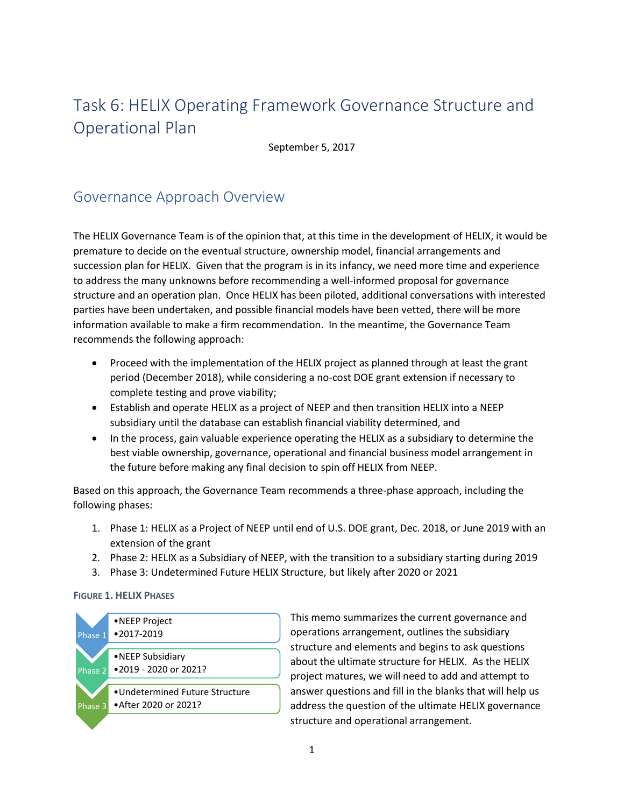## Task 6: HELIX Operating Framework Governance Structure and Operational Plan

September 5, 2017

### Governance Approach Overview

The HELIX Governance Team is of the opinion that, at this time in the development of HELIX, it would be premature to decide on the eventual structure, ownership model, financial arrangements and succession plan for HELIX. Given that the program is in its infancy, we need more time and experience to address the many unknowns before recommending a well-informed proposal for governance structure and an operation plan. Once HELIX has been piloted, additional conversations with interested parties have been undertaken, and possible financial models have been vetted, there will be more information available to make a firm recommendation. In the meantime, the Governance Team recommends the following approach:

- Proceed with the implementation of the HELIX project as planned through at least the grant period (December 2018), while considering a no-cost DOE grant extension if necessary to complete testing and prove viability;
- Establish and operate HELIX as a project of NEEP and then transition HELIX into a NEEP subsidiary until the database can establish financial viability determined, and
- In the process, gain valuable experience operating the HELIX as a subsidiary to determine the best viable ownership, governance, operational and financial business model arrangement in the future before making any final decision to spin off HELIX from NEEP.

Based on this approach, the Governance Team recommends a three-phase approach, including the following phases:

- 1. Phase 1: HELIX as a Project of NEEP until end of U.S. DOE grant, Dec. 2018, or June 2019 with an extension of the grant
- 2. Phase 2: HELIX as a Subsidiary of NEEP, with the transition to a subsidiary starting during 2019
- 3. Phase 3: Undetermined Future HELIX Structure, but likely after 2020 or 2021

#### **FIGURE 1. HELIX PHASES**



This memo summarizes the current governance and operations arrangement, outlines the subsidiary structure and elements and begins to ask questions about the ultimate structure for HELIX. As the HELIX project matures, we will need to add and attempt to answer questions and fill in the blanks that will help us address the question of the ultimate HELIX governance structure and operational arrangement.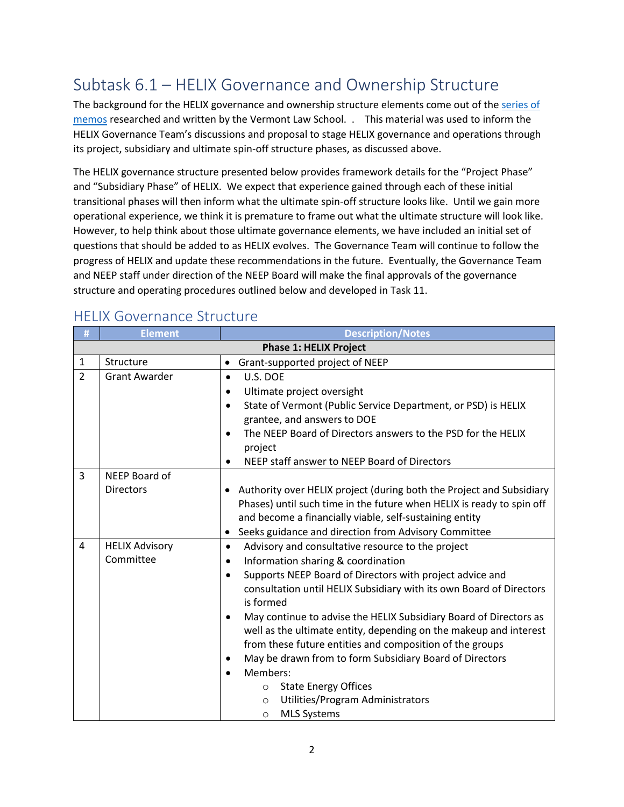## Subtask 6.1 – HELIX Governance and Ownership Structure

The background for the HELIX governance and ownership structure elements come out of the series of [memos](http://www.neep.org/files/iee-neep-helix-task-45-memo-ownership-and-governancepdf) researched and written by the Vermont Law School. . This material was used to inform the HELIX Governance Team's discussions and proposal to stage HELIX governance and operations through its project, subsidiary and ultimate spin-off structure phases, as discussed above.

The HELIX governance structure presented below provides framework details for the "Project Phase" and "Subsidiary Phase" of HELIX. We expect that experience gained through each of these initial transitional phases will then inform what the ultimate spin-off structure looks like. Until we gain more operational experience, we think it is premature to frame out what the ultimate structure will look like. However, to help think about those ultimate governance elements, we have included an initial set of questions that should be added to as HELIX evolves. The Governance Team will continue to follow the progress of HELIX and update these recommendations in the future. Eventually, the Governance Team and NEEP staff under direction of the NEEP Board will make the final approvals of the governance structure and operating procedures outlined below and developed in Task 11.

| #              | <b>Element</b>                | <b>Description/Notes</b>                                                                                                                                                                                        |  |  |
|----------------|-------------------------------|-----------------------------------------------------------------------------------------------------------------------------------------------------------------------------------------------------------------|--|--|
|                | <b>Phase 1: HELIX Project</b> |                                                                                                                                                                                                                 |  |  |
| $\mathbf 1$    | Structure                     | Grant-supported project of NEEP<br>$\bullet$                                                                                                                                                                    |  |  |
| $\overline{2}$ | <b>Grant Awarder</b>          | U.S. DOE<br>$\bullet$                                                                                                                                                                                           |  |  |
|                |                               | Ultimate project oversight<br>$\bullet$                                                                                                                                                                         |  |  |
|                |                               | State of Vermont (Public Service Department, or PSD) is HELIX<br>$\bullet$                                                                                                                                      |  |  |
|                |                               | grantee, and answers to DOE                                                                                                                                                                                     |  |  |
|                |                               | The NEEP Board of Directors answers to the PSD for the HELIX<br>$\bullet$<br>project                                                                                                                            |  |  |
|                |                               | NEEP staff answer to NEEP Board of Directors<br>$\bullet$                                                                                                                                                       |  |  |
| $\overline{3}$ | NEEP Board of                 |                                                                                                                                                                                                                 |  |  |
|                | <b>Directors</b>              | • Authority over HELIX project (during both the Project and Subsidiary                                                                                                                                          |  |  |
|                |                               | Phases) until such time in the future when HELIX is ready to spin off                                                                                                                                           |  |  |
|                |                               | and become a financially viable, self-sustaining entity                                                                                                                                                         |  |  |
|                |                               | Seeks guidance and direction from Advisory Committee                                                                                                                                                            |  |  |
| 4              | <b>HELIX Advisory</b>         | Advisory and consultative resource to the project                                                                                                                                                               |  |  |
|                | Committee                     | Information sharing & coordination                                                                                                                                                                              |  |  |
|                |                               | Supports NEEP Board of Directors with project advice and<br>$\bullet$<br>consultation until HELIX Subsidiary with its own Board of Directors<br>is formed                                                       |  |  |
|                |                               | May continue to advise the HELIX Subsidiary Board of Directors as<br>$\bullet$<br>well as the ultimate entity, depending on the makeup and interest<br>from these future entities and composition of the groups |  |  |
|                |                               | May be drawn from to form Subsidiary Board of Directors                                                                                                                                                         |  |  |
|                |                               | Members:                                                                                                                                                                                                        |  |  |
|                |                               | <b>State Energy Offices</b><br>$\circ$                                                                                                                                                                          |  |  |
|                |                               | Utilities/Program Administrators<br>$\circ$                                                                                                                                                                     |  |  |
|                |                               | <b>MLS Systems</b><br>$\circ$                                                                                                                                                                                   |  |  |

### HELIX Governance Structure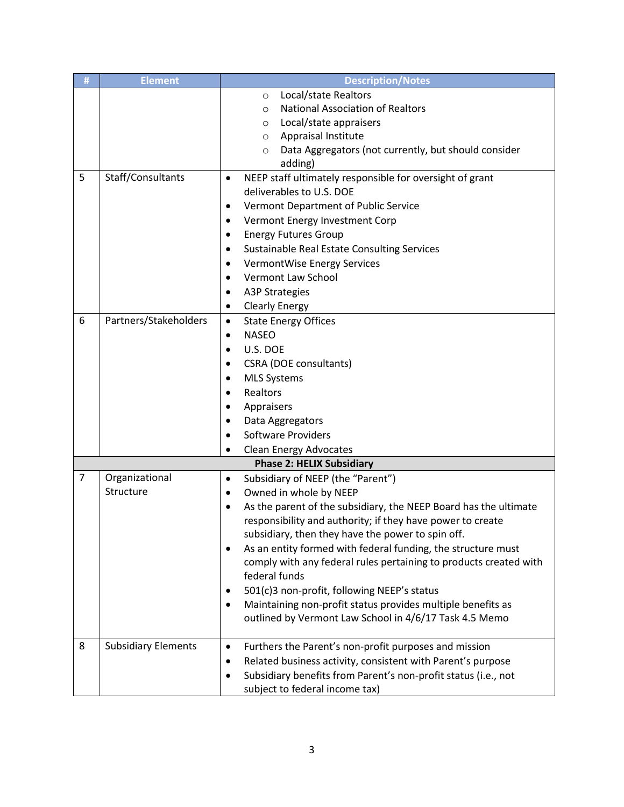| # | <b>Element</b>             | <b>Description/Notes</b>                                                      |  |  |  |
|---|----------------------------|-------------------------------------------------------------------------------|--|--|--|
|   |                            | Local/state Realtors<br>$\circ$                                               |  |  |  |
|   |                            | <b>National Association of Realtors</b><br>$\circ$                            |  |  |  |
|   |                            | Local/state appraisers<br>$\circ$                                             |  |  |  |
|   |                            | Appraisal Institute<br>$\circ$                                                |  |  |  |
|   |                            | Data Aggregators (not currently, but should consider<br>$\circ$               |  |  |  |
|   |                            | adding)                                                                       |  |  |  |
| 5 | Staff/Consultants          | NEEP staff ultimately responsible for oversight of grant<br>$\bullet$         |  |  |  |
|   |                            | deliverables to U.S. DOE                                                      |  |  |  |
|   |                            | Vermont Department of Public Service<br>٠                                     |  |  |  |
|   |                            | Vermont Energy Investment Corp<br>$\bullet$                                   |  |  |  |
|   |                            | <b>Energy Futures Group</b><br>$\bullet$                                      |  |  |  |
|   |                            | Sustainable Real Estate Consulting Services<br>$\bullet$                      |  |  |  |
|   |                            | <b>VermontWise Energy Services</b><br>$\bullet$                               |  |  |  |
|   |                            | Vermont Law School<br>$\bullet$                                               |  |  |  |
|   |                            | <b>A3P Strategies</b><br>$\bullet$                                            |  |  |  |
|   |                            | <b>Clearly Energy</b><br>٠                                                    |  |  |  |
| 6 | Partners/Stakeholders      | <b>State Energy Offices</b><br>$\bullet$                                      |  |  |  |
|   |                            | <b>NASEO</b><br>٠                                                             |  |  |  |
|   |                            | U.S. DOE<br>$\bullet$                                                         |  |  |  |
|   |                            | <b>CSRA (DOE consultants)</b><br>$\bullet$                                    |  |  |  |
|   |                            | <b>MLS Systems</b>                                                            |  |  |  |
|   |                            | Realtors<br>$\bullet$                                                         |  |  |  |
|   |                            | Appraisers<br>$\bullet$                                                       |  |  |  |
|   |                            | Data Aggregators                                                              |  |  |  |
|   |                            | <b>Software Providers</b>                                                     |  |  |  |
|   |                            | <b>Clean Energy Advocates</b><br>$\bullet$                                    |  |  |  |
|   |                            | <b>Phase 2: HELIX Subsidiary</b>                                              |  |  |  |
| 7 | Organizational             | Subsidiary of NEEP (the "Parent")<br>$\bullet$                                |  |  |  |
|   | Structure                  | Owned in whole by NEEP<br>$\bullet$                                           |  |  |  |
|   |                            | As the parent of the subsidiary, the NEEP Board has the ultimate<br>$\bullet$ |  |  |  |
|   |                            | responsibility and authority; if they have power to create                    |  |  |  |
|   |                            | subsidiary, then they have the power to spin off.                             |  |  |  |
|   |                            | As an entity formed with federal funding, the structure must<br>٠             |  |  |  |
|   |                            | comply with any federal rules pertaining to products created with             |  |  |  |
|   |                            | federal funds                                                                 |  |  |  |
|   |                            | 501(c)3 non-profit, following NEEP's status                                   |  |  |  |
|   |                            | Maintaining non-profit status provides multiple benefits as                   |  |  |  |
|   |                            | outlined by Vermont Law School in 4/6/17 Task 4.5 Memo                        |  |  |  |
|   |                            |                                                                               |  |  |  |
| 8 | <b>Subsidiary Elements</b> | Furthers the Parent's non-profit purposes and mission<br>$\bullet$            |  |  |  |
|   |                            | Related business activity, consistent with Parent's purpose                   |  |  |  |
|   |                            | Subsidiary benefits from Parent's non-profit status (i.e., not                |  |  |  |
|   |                            | subject to federal income tax)                                                |  |  |  |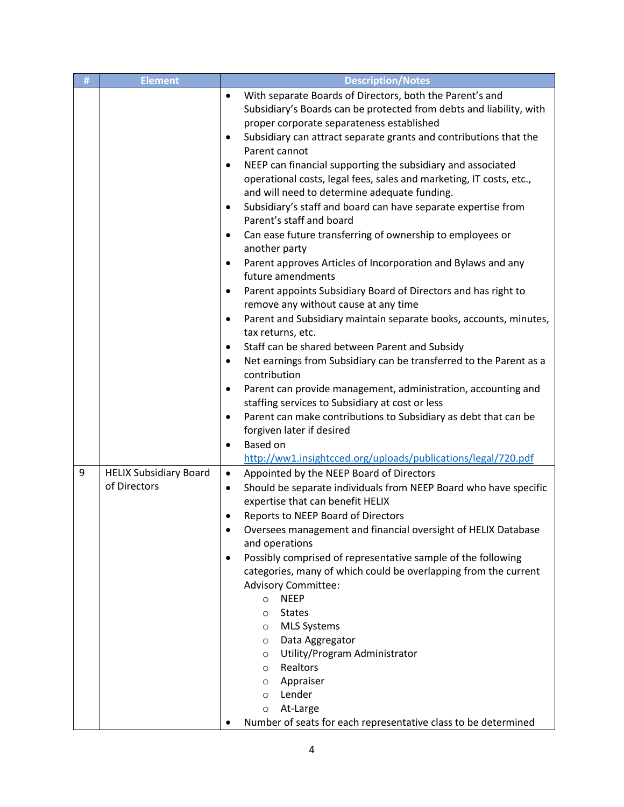| # | <b>Element</b>                                | <b>Description/Notes</b>                                                                                                                                                                                                                                                                                                                                                                                                                                                                                                                                                                                                                                                                                                                                                                                                                                                                                                                                                                                                                                                                                                                                                                                                                                                                                                                                                                                                                             |  |  |
|---|-----------------------------------------------|------------------------------------------------------------------------------------------------------------------------------------------------------------------------------------------------------------------------------------------------------------------------------------------------------------------------------------------------------------------------------------------------------------------------------------------------------------------------------------------------------------------------------------------------------------------------------------------------------------------------------------------------------------------------------------------------------------------------------------------------------------------------------------------------------------------------------------------------------------------------------------------------------------------------------------------------------------------------------------------------------------------------------------------------------------------------------------------------------------------------------------------------------------------------------------------------------------------------------------------------------------------------------------------------------------------------------------------------------------------------------------------------------------------------------------------------------|--|--|
|   |                                               | With separate Boards of Directors, both the Parent's and<br>$\bullet$<br>Subsidiary's Boards can be protected from debts and liability, with<br>proper corporate separateness established<br>Subsidiary can attract separate grants and contributions that the<br>$\bullet$<br>Parent cannot<br>NEEP can financial supporting the subsidiary and associated<br>$\bullet$<br>operational costs, legal fees, sales and marketing, IT costs, etc.,<br>and will need to determine adequate funding.<br>Subsidiary's staff and board can have separate expertise from<br>$\bullet$<br>Parent's staff and board<br>Can ease future transferring of ownership to employees or<br>$\bullet$<br>another party<br>Parent approves Articles of Incorporation and Bylaws and any<br>future amendments<br>Parent appoints Subsidiary Board of Directors and has right to<br>$\bullet$<br>remove any without cause at any time<br>Parent and Subsidiary maintain separate books, accounts, minutes,<br>$\bullet$<br>tax returns, etc.<br>Staff can be shared between Parent and Subsidy<br>$\bullet$<br>Net earnings from Subsidiary can be transferred to the Parent as a<br>$\bullet$<br>contribution<br>Parent can provide management, administration, accounting and<br>$\bullet$<br>staffing services to Subsidiary at cost or less<br>Parent can make contributions to Subsidiary as debt that can be<br>$\bullet$<br>forgiven later if desired<br>$\bullet$ |  |  |
| 9 | <b>HELIX Subsidiary Board</b><br>of Directors | Based on<br>http://ww1.insightcced.org/uploads/publications/legal/720.pdf<br>Appointed by the NEEP Board of Directors<br>Should be separate individuals from NEEP Board who have specific<br>expertise that can benefit HELIX<br>Reports to NEEP Board of Directors<br>Oversees management and financial oversight of HELIX Database<br>and operations<br>Possibly comprised of representative sample of the following<br>categories, many of which could be overlapping from the current<br><b>Advisory Committee:</b><br><b>NEEP</b><br>$\circ$<br><b>States</b><br>$\circ$<br><b>MLS Systems</b><br>$\circ$<br>Data Aggregator<br>$\circ$<br>Utility/Program Administrator<br>O<br>Realtors<br>$\circ$<br>Appraiser<br>$\circ$<br>Lender<br>$\circ$<br>At-Large<br>$\circ$<br>Number of seats for each representative class to be determined                                                                                                                                                                                                                                                                                                                                                                                                                                                                                                                                                                                                      |  |  |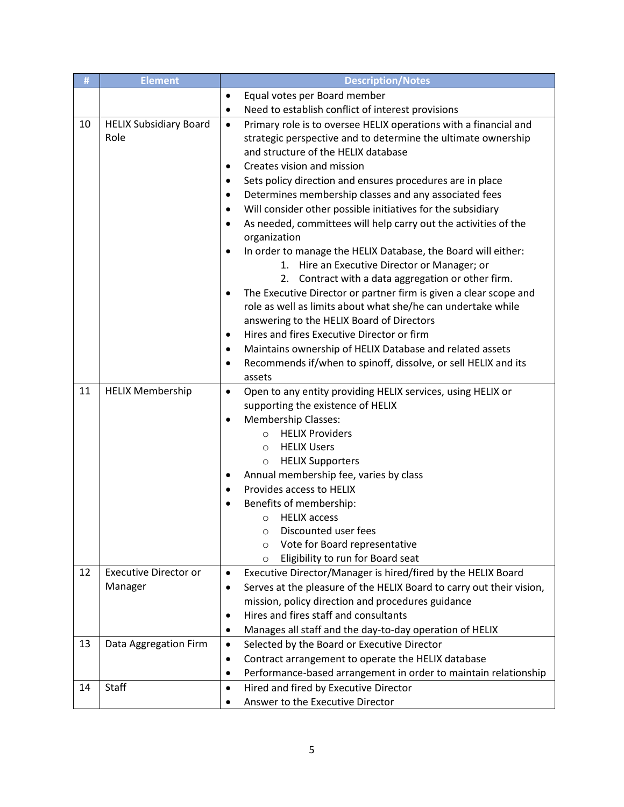| #  | <b>Element</b>                | <b>Description/Notes</b>                                                                     |  |  |
|----|-------------------------------|----------------------------------------------------------------------------------------------|--|--|
|    |                               | Equal votes per Board member<br>$\bullet$                                                    |  |  |
|    |                               | Need to establish conflict of interest provisions<br>$\bullet$                               |  |  |
| 10 | <b>HELIX Subsidiary Board</b> | Primary role is to oversee HELIX operations with a financial and<br>$\bullet$                |  |  |
|    | Role                          | strategic perspective and to determine the ultimate ownership                                |  |  |
|    |                               | and structure of the HELIX database                                                          |  |  |
|    |                               | Creates vision and mission<br>$\bullet$                                                      |  |  |
|    |                               | Sets policy direction and ensures procedures are in place<br>$\bullet$                       |  |  |
|    |                               | Determines membership classes and any associated fees<br>$\bullet$                           |  |  |
|    |                               | Will consider other possible initiatives for the subsidiary                                  |  |  |
|    |                               | As needed, committees will help carry out the activities of the<br>$\bullet$<br>organization |  |  |
|    |                               | In order to manage the HELIX Database, the Board will either:<br>$\bullet$                   |  |  |
|    |                               | 1.<br>Hire an Executive Director or Manager; or                                              |  |  |
|    |                               | Contract with a data aggregation or other firm.<br>2.                                        |  |  |
|    |                               | The Executive Director or partner firm is given a clear scope and                            |  |  |
|    |                               | role as well as limits about what she/he can undertake while                                 |  |  |
|    |                               | answering to the HELIX Board of Directors                                                    |  |  |
|    |                               | Hires and fires Executive Director or firm<br>$\bullet$                                      |  |  |
|    |                               | Maintains ownership of HELIX Database and related assets<br>$\bullet$                        |  |  |
|    |                               | Recommends if/when to spinoff, dissolve, or sell HELIX and its<br>$\bullet$                  |  |  |
|    |                               | assets                                                                                       |  |  |
| 11 | <b>HELIX Membership</b>       | Open to any entity providing HELIX services, using HELIX or<br>$\bullet$                     |  |  |
|    |                               | supporting the existence of HELIX                                                            |  |  |
|    |                               | <b>Membership Classes:</b>                                                                   |  |  |
|    |                               | <b>HELIX Providers</b><br>$\circ$                                                            |  |  |
|    |                               | <b>HELIX Users</b><br>$\circ$                                                                |  |  |
|    |                               | <b>HELIX Supporters</b><br>$\circ$                                                           |  |  |
|    |                               | Annual membership fee, varies by class                                                       |  |  |
|    |                               | Provides access to HELIX                                                                     |  |  |
|    |                               | Benefits of membership:<br>$\bullet$                                                         |  |  |
|    |                               | <b>HELIX</b> access<br>$\circ$                                                               |  |  |
|    |                               | Discounted user fees<br>O                                                                    |  |  |
|    |                               | Vote for Board representative<br>$\circ$                                                     |  |  |
|    |                               | Eligibility to run for Board seat<br>$\circ$                                                 |  |  |
| 12 | <b>Executive Director or</b>  | Executive Director/Manager is hired/fired by the HELIX Board<br>$\bullet$                    |  |  |
|    | Manager                       | Serves at the pleasure of the HELIX Board to carry out their vision,<br>$\bullet$            |  |  |
|    |                               | mission, policy direction and procedures guidance                                            |  |  |
|    |                               | Hires and fires staff and consultants<br>٠                                                   |  |  |
|    |                               | Manages all staff and the day-to-day operation of HELIX<br>٠                                 |  |  |
| 13 | Data Aggregation Firm         | Selected by the Board or Executive Director<br>$\bullet$                                     |  |  |
|    |                               | Contract arrangement to operate the HELIX database<br>٠                                      |  |  |
|    |                               | Performance-based arrangement in order to maintain relationship                              |  |  |
| 14 | Staff                         | Hired and fired by Executive Director<br>$\bullet$                                           |  |  |
|    |                               | Answer to the Executive Director                                                             |  |  |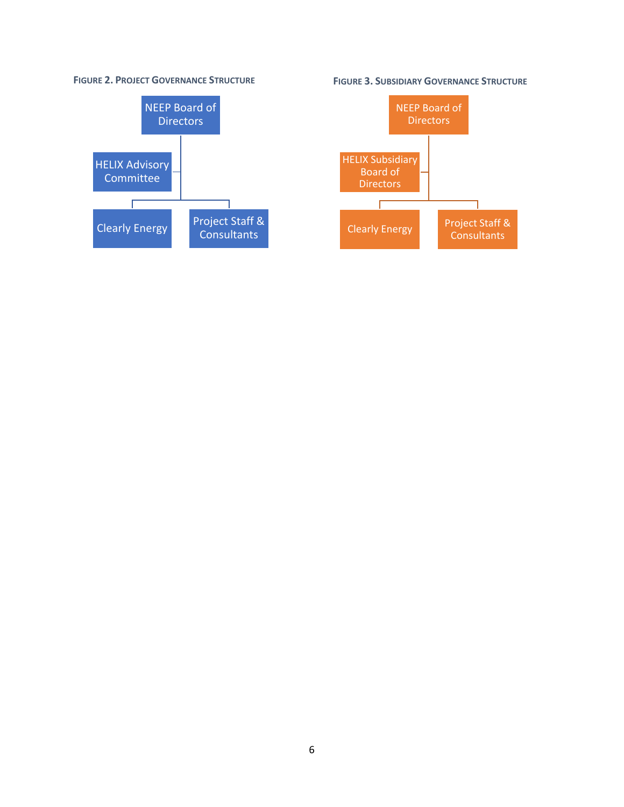#### **FIGURE 2. PROJECT GOVERNANCE STRUCTURE**



**FIGURE 3. SUBSIDIARY GOVERNANCE STRUCTURE**

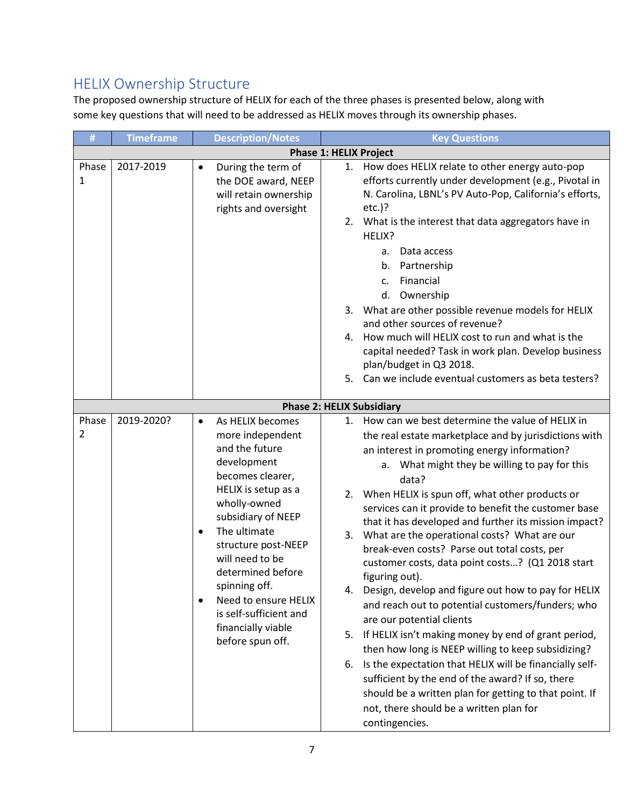### HELIX Ownership Structure

The proposed ownership structure of HELIX for each of the three phases is presented below, along with some key questions that will need to be addressed as HELIX moves through its ownership phases.

| #                                | <b>Timeframe</b> | <b>Description/Notes</b>                                                                                                                                                                                                                                                                                                                                              | <b>Key Questions</b>                                                                                                                                                                                                                                                                                                                                                                                                                                                                                                                                                                                                                                                                                                   |  |
|----------------------------------|------------------|-----------------------------------------------------------------------------------------------------------------------------------------------------------------------------------------------------------------------------------------------------------------------------------------------------------------------------------------------------------------------|------------------------------------------------------------------------------------------------------------------------------------------------------------------------------------------------------------------------------------------------------------------------------------------------------------------------------------------------------------------------------------------------------------------------------------------------------------------------------------------------------------------------------------------------------------------------------------------------------------------------------------------------------------------------------------------------------------------------|--|
|                                  |                  |                                                                                                                                                                                                                                                                                                                                                                       | <b>Phase 1: HELIX Project</b>                                                                                                                                                                                                                                                                                                                                                                                                                                                                                                                                                                                                                                                                                          |  |
| Phase<br>1                       | 2017-2019        | During the term of<br>the DOE award, NEEP<br>will retain ownership<br>rights and oversight                                                                                                                                                                                                                                                                            | 1. How does HELIX relate to other energy auto-pop<br>efforts currently under development (e.g., Pivotal in<br>N. Carolina, LBNL's PV Auto-Pop, California's efforts,<br>$etc.$ )?<br>2. What is the interest that data aggregators have in<br>HELIX?<br>Data access<br>а.<br>b. Partnership<br>Financial<br>$\mathsf{C}$ .<br>Ownership<br>d.<br>3. What are other possible revenue models for HELIX<br>and other sources of revenue?<br>How much will HELIX cost to run and what is the<br>4.<br>capital needed? Task in work plan. Develop business<br>plan/budget in Q3 2018.<br>5. Can we include eventual customers as beta testers?                                                                              |  |
| <b>Phase 2: HELIX Subsidiary</b> |                  |                                                                                                                                                                                                                                                                                                                                                                       |                                                                                                                                                                                                                                                                                                                                                                                                                                                                                                                                                                                                                                                                                                                        |  |
| Phase<br>2                       | 2019-2020?       | As HELIX becomes<br>$\bullet$<br>more independent<br>and the future<br>development<br>becomes clearer,<br>HELIX is setup as a<br>wholly-owned<br>subsidiary of NEEP<br>The ultimate<br>$\bullet$<br>structure post-NEEP<br>will need to be<br>determined before<br>spinning off.<br>Need to ensure HELIX<br>$\bullet$<br>is self-sufficient and<br>financially viable | 1. How can we best determine the value of HELIX in<br>the real estate marketplace and by jurisdictions with<br>an interest in promoting energy information?<br>a. What might they be willing to pay for this<br>data?<br>2. When HELIX is spun off, what other products or<br>services can it provide to benefit the customer base<br>that it has developed and further its mission impact?<br>What are the operational costs? What are our<br>3.<br>break-even costs? Parse out total costs, per<br>customer costs, data point costs? (Q1 2018 start<br>figuring out).<br>4.<br>Design, develop and figure out how to pay for HELIX<br>and reach out to potential customers/funders; who<br>are our potential clients |  |
|                                  |                  | before spun off.                                                                                                                                                                                                                                                                                                                                                      | If HELIX isn't making money by end of grant period,<br>5.<br>then how long is NEEP willing to keep subsidizing?<br>Is the expectation that HELIX will be financially self-<br>6.<br>sufficient by the end of the award? If so, there<br>should be a written plan for getting to that point. If<br>not, there should be a written plan for<br>contingencies.                                                                                                                                                                                                                                                                                                                                                            |  |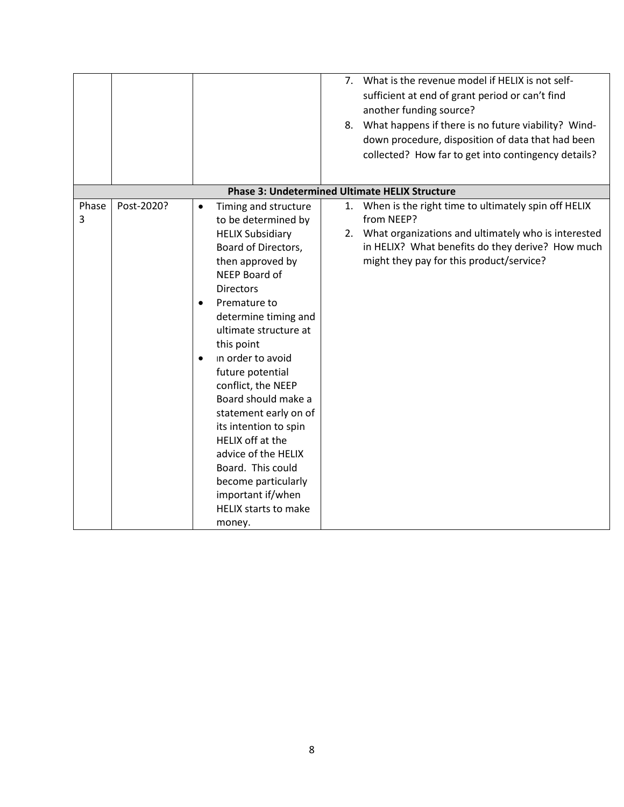|            |            |                                                                                                                                                                                                                                                                                                                                                                                                                                                                                                                                                 | 8.       | 7. What is the revenue model if HELIX is not self-<br>sufficient at end of grant period or can't find<br>another funding source?<br>What happens if there is no future viability? Wind-<br>down procedure, disposition of data that had been<br>collected? How far to get into contingency details? |
|------------|------------|-------------------------------------------------------------------------------------------------------------------------------------------------------------------------------------------------------------------------------------------------------------------------------------------------------------------------------------------------------------------------------------------------------------------------------------------------------------------------------------------------------------------------------------------------|----------|-----------------------------------------------------------------------------------------------------------------------------------------------------------------------------------------------------------------------------------------------------------------------------------------------------|
|            |            | <b>Phase 3: Undetermined Ultimate HELIX Structure</b>                                                                                                                                                                                                                                                                                                                                                                                                                                                                                           |          |                                                                                                                                                                                                                                                                                                     |
| Phase<br>3 | Post-2020? | Timing and structure<br>$\bullet$<br>to be determined by<br><b>HELIX Subsidiary</b><br>Board of Directors,<br>then approved by<br>NEEP Board of<br><b>Directors</b><br>Premature to<br>determine timing and<br>ultimate structure at<br>this point<br>in order to avoid<br>future potential<br>conflict, the NEEP<br>Board should make a<br>statement early on of<br>its intention to spin<br>HELIX off at the<br>advice of the HELIX<br>Board. This could<br>become particularly<br>important if/when<br><b>HELIX starts to make</b><br>money. | 1.<br>2. | When is the right time to ultimately spin off HELIX<br>from NEEP?<br>What organizations and ultimately who is interested<br>in HELIX? What benefits do they derive? How much<br>might they pay for this product/service?                                                                            |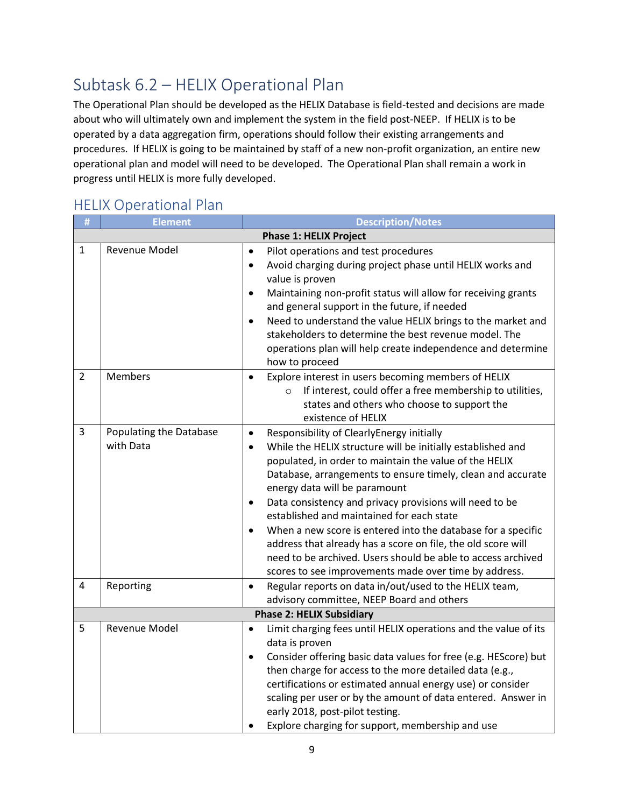# Subtask 6.2 – HELIX Operational Plan

The Operational Plan should be developed as the HELIX Database is field-tested and decisions are made about who will ultimately own and implement the system in the field post-NEEP. If HELIX is to be operated by a data aggregation firm, operations should follow their existing arrangements and procedures. If HELIX is going to be maintained by staff of a new non-profit organization, an entire new operational plan and model will need to be developed. The Operational Plan shall remain a work in progress until HELIX is more fully developed.

### HELIX Operational Plan

| #              | <b>Element</b>                       | <b>Description/Notes</b>                                                                                                                                                                                                                                                                                                                                                                                                                                                                                                                                                                                                                                                                |  |
|----------------|--------------------------------------|-----------------------------------------------------------------------------------------------------------------------------------------------------------------------------------------------------------------------------------------------------------------------------------------------------------------------------------------------------------------------------------------------------------------------------------------------------------------------------------------------------------------------------------------------------------------------------------------------------------------------------------------------------------------------------------------|--|
|                | <b>Phase 1: HELIX Project</b>        |                                                                                                                                                                                                                                                                                                                                                                                                                                                                                                                                                                                                                                                                                         |  |
| $\mathbf{1}$   | Revenue Model                        | Pilot operations and test procedures<br>$\bullet$<br>Avoid charging during project phase until HELIX works and<br>$\bullet$<br>value is proven<br>Maintaining non-profit status will allow for receiving grants<br>$\bullet$<br>and general support in the future, if needed<br>Need to understand the value HELIX brings to the market and<br>$\bullet$<br>stakeholders to determine the best revenue model. The<br>operations plan will help create independence and determine<br>how to proceed                                                                                                                                                                                      |  |
| $\overline{2}$ | Members                              | Explore interest in users becoming members of HELIX<br>$\bullet$<br>If interest, could offer a free membership to utilities,<br>$\circ$<br>states and others who choose to support the<br>existence of HELIX                                                                                                                                                                                                                                                                                                                                                                                                                                                                            |  |
| $\overline{3}$ | Populating the Database<br>with Data | Responsibility of ClearlyEnergy initially<br>$\bullet$<br>While the HELIX structure will be initially established and<br>$\bullet$<br>populated, in order to maintain the value of the HELIX<br>Database, arrangements to ensure timely, clean and accurate<br>energy data will be paramount<br>Data consistency and privacy provisions will need to be<br>$\bullet$<br>established and maintained for each state<br>When a new score is entered into the database for a specific<br>$\bullet$<br>address that already has a score on file, the old score will<br>need to be archived. Users should be able to access archived<br>scores to see improvements made over time by address. |  |
| 4              | Reporting                            | Regular reports on data in/out/used to the HELIX team,<br>$\bullet$<br>advisory committee, NEEP Board and others                                                                                                                                                                                                                                                                                                                                                                                                                                                                                                                                                                        |  |
|                |                                      | <b>Phase 2: HELIX Subsidiary</b>                                                                                                                                                                                                                                                                                                                                                                                                                                                                                                                                                                                                                                                        |  |
| 5              | Revenue Model                        | Limit charging fees until HELIX operations and the value of its<br>$\bullet$<br>data is proven<br>Consider offering basic data values for free (e.g. HEScore) but<br>$\bullet$<br>then charge for access to the more detailed data (e.g.,<br>certifications or estimated annual energy use) or consider<br>scaling per user or by the amount of data entered. Answer in<br>early 2018, post-pilot testing.<br>Explore charging for support, membership and use                                                                                                                                                                                                                          |  |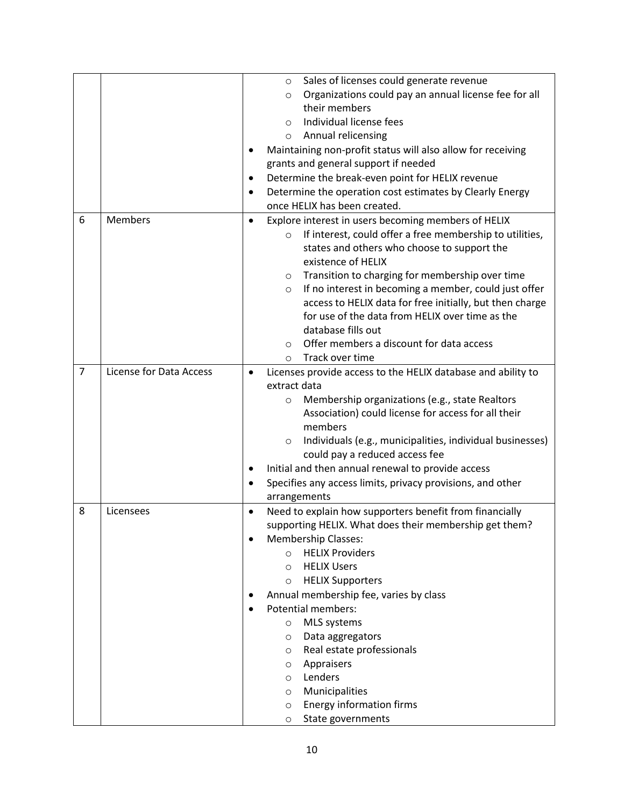|                |                         |                                                        | Sales of licenses could generate revenue<br>$\circ$                  |  |  |  |
|----------------|-------------------------|--------------------------------------------------------|----------------------------------------------------------------------|--|--|--|
|                |                         |                                                        | Organizations could pay an annual license fee for all<br>$\circ$     |  |  |  |
|                |                         |                                                        | their members                                                        |  |  |  |
|                |                         |                                                        | Individual license fees<br>$\Omega$                                  |  |  |  |
|                |                         |                                                        | Annual relicensing<br>$\circ$                                        |  |  |  |
|                |                         |                                                        | Maintaining non-profit status will also allow for receiving          |  |  |  |
|                |                         |                                                        | grants and general support if needed                                 |  |  |  |
|                |                         | $\bullet$                                              | Determine the break-even point for HELIX revenue                     |  |  |  |
|                |                         |                                                        | Determine the operation cost estimates by Clearly Energy             |  |  |  |
|                |                         |                                                        | once HELIX has been created.                                         |  |  |  |
| 6              | <b>Members</b>          | $\bullet$                                              | Explore interest in users becoming members of HELIX                  |  |  |  |
|                |                         |                                                        | If interest, could offer a free membership to utilities,<br>$\circ$  |  |  |  |
|                |                         |                                                        | states and others who choose to support the                          |  |  |  |
|                |                         |                                                        | existence of HELIX                                                   |  |  |  |
|                |                         |                                                        | Transition to charging for membership over time<br>O                 |  |  |  |
|                |                         |                                                        | If no interest in becoming a member, could just offer<br>$\circ$     |  |  |  |
|                |                         |                                                        | access to HELIX data for free initially, but then charge             |  |  |  |
|                |                         |                                                        | for use of the data from HELIX over time as the                      |  |  |  |
|                |                         |                                                        | database fills out                                                   |  |  |  |
|                |                         |                                                        | Offer members a discount for data access<br>$\circ$                  |  |  |  |
|                |                         |                                                        | Track over time<br>$\circ$                                           |  |  |  |
| $\overline{7}$ | License for Data Access | $\bullet$                                              | Licenses provide access to the HELIX database and ability to         |  |  |  |
|                |                         |                                                        | extract data                                                         |  |  |  |
|                |                         |                                                        | Membership organizations (e.g., state Realtors<br>$\circ$            |  |  |  |
|                |                         |                                                        | Association) could license for access for all their                  |  |  |  |
|                |                         |                                                        | members                                                              |  |  |  |
|                |                         |                                                        | Individuals (e.g., municipalities, individual businesses)<br>$\circ$ |  |  |  |
|                |                         |                                                        | could pay a reduced access fee                                       |  |  |  |
|                |                         | ٠                                                      | Initial and then annual renewal to provide access                    |  |  |  |
|                |                         |                                                        | Specifies any access limits, privacy provisions, and other           |  |  |  |
|                |                         |                                                        | arrangements                                                         |  |  |  |
| 8              | Licensees               | $\bullet$                                              | Need to explain how supporters benefit from financially              |  |  |  |
|                |                         | supporting HELIX. What does their membership get them? |                                                                      |  |  |  |
|                |                         | <b>Membership Classes:</b>                             |                                                                      |  |  |  |
|                |                         | <b>HELIX Providers</b><br>$\circ$                      |                                                                      |  |  |  |
|                |                         |                                                        | <b>HELIX Users</b><br>$\circ$                                        |  |  |  |
|                |                         |                                                        | <b>HELIX Supporters</b><br>O                                         |  |  |  |
|                |                         |                                                        | Annual membership fee, varies by class                               |  |  |  |
|                |                         |                                                        | <b>Potential members:</b>                                            |  |  |  |
|                |                         |                                                        | MLS systems<br>$\circ$                                               |  |  |  |
|                |                         |                                                        | Data aggregators<br>$\circ$                                          |  |  |  |
|                |                         |                                                        | Real estate professionals<br>$\circ$                                 |  |  |  |
|                |                         |                                                        | Appraisers<br>$\circ$                                                |  |  |  |
|                |                         |                                                        | Lenders<br>$\circ$                                                   |  |  |  |
|                |                         |                                                        | Municipalities<br>$\circ$                                            |  |  |  |
|                |                         |                                                        | <b>Energy information firms</b><br>$\circ$                           |  |  |  |
|                |                         |                                                        | State governments<br>$\circ$                                         |  |  |  |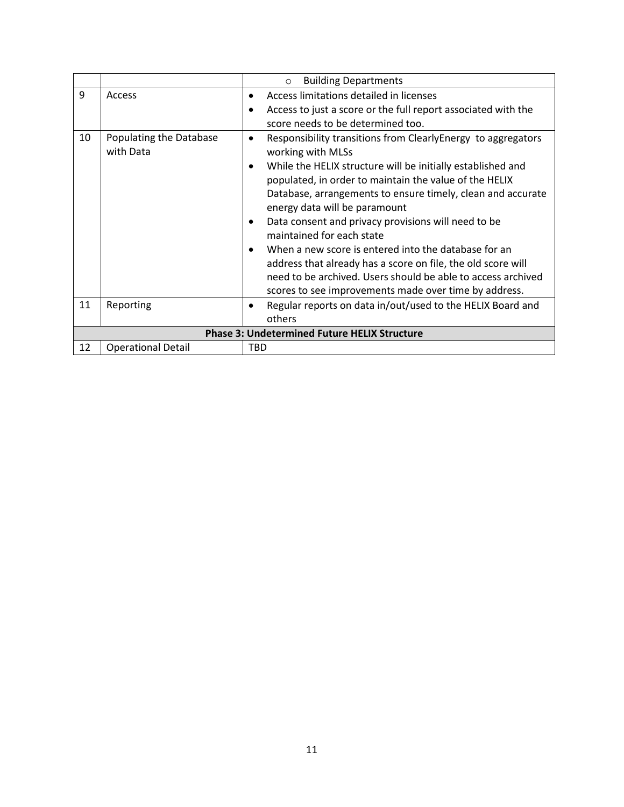|    |                                                     | <b>Building Departments</b><br>$\circ$                                                                                                                                                                                                                     |  |  |
|----|-----------------------------------------------------|------------------------------------------------------------------------------------------------------------------------------------------------------------------------------------------------------------------------------------------------------------|--|--|
| 9  | Access                                              | Access limitations detailed in licenses<br>$\bullet$                                                                                                                                                                                                       |  |  |
|    |                                                     | Access to just a score or the full report associated with the<br>$\bullet$                                                                                                                                                                                 |  |  |
|    |                                                     | score needs to be determined too.                                                                                                                                                                                                                          |  |  |
| 10 | Populating the Database<br>with Data                | Responsibility transitions from ClearlyEnergy to aggregators<br>$\bullet$<br>working with MLSs                                                                                                                                                             |  |  |
|    |                                                     | While the HELIX structure will be initially established and<br>$\bullet$<br>populated, in order to maintain the value of the HELIX<br>Database, arrangements to ensure timely, clean and accurate<br>energy data will be paramount                         |  |  |
|    |                                                     | Data consent and privacy provisions will need to be<br>٠<br>maintained for each state                                                                                                                                                                      |  |  |
|    |                                                     | When a new score is entered into the database for an<br>$\bullet$<br>address that already has a score on file, the old score will<br>need to be archived. Users should be able to access archived<br>scores to see improvements made over time by address. |  |  |
| 11 | Reporting                                           | Regular reports on data in/out/used to the HELIX Board and<br>٠<br>others                                                                                                                                                                                  |  |  |
|    | <b>Phase 3: Undetermined Future HELIX Structure</b> |                                                                                                                                                                                                                                                            |  |  |
| 12 | <b>Operational Detail</b>                           | TBD                                                                                                                                                                                                                                                        |  |  |